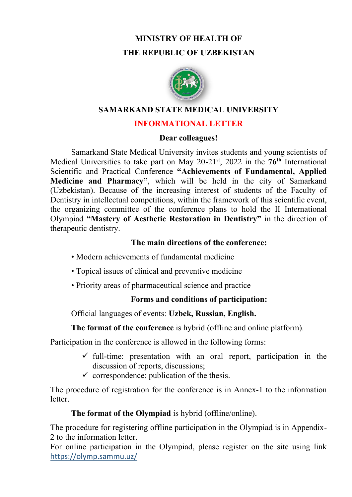# **MINISTRY OF HEALTH OF THE REPUBLIC OF UZBEKISTAN**



#### **SAMARKAND STATE MEDICAL UNIVERSITY**

### **INFORMATIONAL LETTER**

#### **Dear colleagues!**

Samarkand State Medical University invites students and young scientists of Medical Universities to take part on May 20-21st, 2022 in the **76th** International Scientific and Practical Conference **"Achievements of Fundamental, Applied Medicine and Pharmacy"**, which will be held in the city of Samarkand (Uzbekistan). Because of the increasing interest of students of the Faculty of Dentistry in intellectual competitions, within the framework of this scientific event, the organizing committee of the conference plans to hold the II International Olympiad **"Mastery of Aesthetic Restoration in Dentistry"** in the direction of therapeutic dentistry.

### **The main directions of the conference:**

- Modern achievements of fundamental medicine
- Topical issues of clinical and preventive medicine
- Priority areas of pharmaceutical science and practice

# **Forms and conditions of participation:**

Official languages of events: **Uzbek, Russian, English.**

# **The format of the conference** is hybrid (offline and online platform).

Participation in the conference is allowed in the following forms:

- $\checkmark$  full-time: presentation with an oral report, participation in the discussion of reports, discussions;
- $\checkmark$  correspondence: publication of the thesis.

The procedure of registration for the conference is in Annex-1 to the information letter.

# **The format of the Olympiad** is hybrid (offline/online).

The procedure for registering offline participation in the Olympiad is in Appendix-2 to the information letter.

For online participation in the Olympiad, please register on the site using link https://olymp.sammu.uz/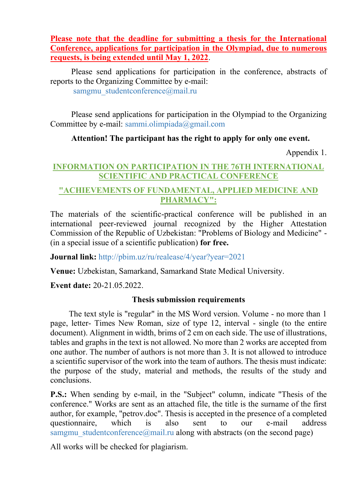**Please note that the deadline for submitting a thesis for the International Conference, applications for participation in the Olympiad, due to numerous requests, is being extended until May 1, 2022**.

Please send applications for participation in the conference, abstracts of reports to the Organizing Committee by e-mail: samgmu\_studentconference@mail.ru

Please send applications for participation in the Olympiad to the Organizing Committee by e-mail: sammi.olimpiada@gmail.com

### **Attention! The participant has the right to apply for only one event.**

Appendix 1.

#### **INFORMATION ON PARTICIPATION IN THE 76TH INTERNATIONAL SCIENTIFIC AND PRACTICAL CONFERENCE**

#### **"ACHIEVEMENTS OF FUNDAMENTAL, APPLIED MEDICINE AND PHARMACY":**

The materials of the scientific-practical conference will be published in an international peer-reviewed journal recognized by the Higher Attestation Commission of the Republic of Uzbekistan: "Problems of Biology and Medicine" - (in a special issue of a scientific publication) **for free.**

**Journal link:** http://pbim.uz/ru/realease/4/year?year=2021

**Venue:** Uzbekistan, Samarkand, Samarkand State Medical University.

**Event date:** 20-21.05.2022.

#### **Thesis submission requirements**

 The text style is "regular" in the MS Word version. Volume - no more than 1 page, letter- Times New Roman, size of type 12, interval - single (to the entire document). Alignment in width, brims of 2 cm on each side. The use of illustrations, tables and graphs in the text is not allowed. No more than 2 works are accepted from one author. The number of authors is not more than 3. It is not allowed to introduce a scientific supervisor of the work into the team of authors. The thesis must indicate: the purpose of the study, material and methods, the results of the study and conclusions.

**P.S.:** When sending by e-mail, in the "Subject" column, indicate "Thesis of the conference." Works are sent as an attached file, the title is the surname of the first author, for example, "petrov.doc". Thesis is accepted in the presence of a completed questionnaire, which is also sent to our e-mail address samgmu studentconference@mail.ru along with abstracts (on the second page)

All works will be checked for plagiarism.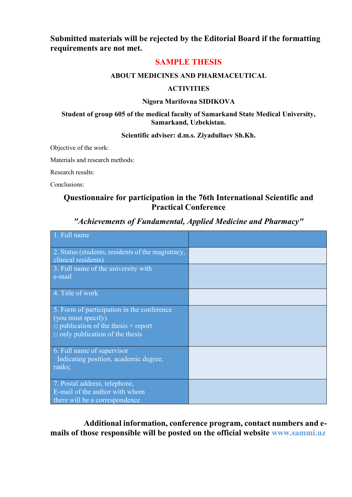**Submitted materials will be rejected by the Editorial Board if the formatting requirements are not met.**

#### **SAMPLE THESIS**

#### **ABOUT MEDICINES AND PHARMACEUTICAL**

#### **ACTIVITIES**

#### **Nigora Marifovna SIDIKOVA**

#### **Student of group 605 of the medical faculty of Samarkand State Medical University, Samarkand, Uzbekistan.**

#### **Scientific adviser: d.m.s. Ziyadullaev Sh.Kh.**

Objective of the work:

Materials and research methods:

Research results:

Conclusions:

#### **Questionnaire for participation in the 76th International Scientific and Practical Conference**

| 1. Full name                                                                                                                                           |  |
|--------------------------------------------------------------------------------------------------------------------------------------------------------|--|
| 2. Status (students, residents of the magistracy,<br>clinical residents)                                                                               |  |
| 3. Full name of the university with<br>e-mail                                                                                                          |  |
| 4. Title of work                                                                                                                                       |  |
| 5. Form of participation in the conference<br>(you must specify)<br>$\Box$ publication of the thesis + report<br>$\Box$ only publication of the thesis |  |
| 6. Full name of supervisor<br>Indicating position, academic degree,<br>ranks;                                                                          |  |
| 7. Postal address, telephone,<br>E-mail of the author with whom<br>there will be a correspondence                                                      |  |

#### *"Achievements of Fundamental, Applied Medicine and Pharmacy"*

**Additional information, conference program, contact numbers and emails of those responsible will be posted on the official website www.sammi.uz**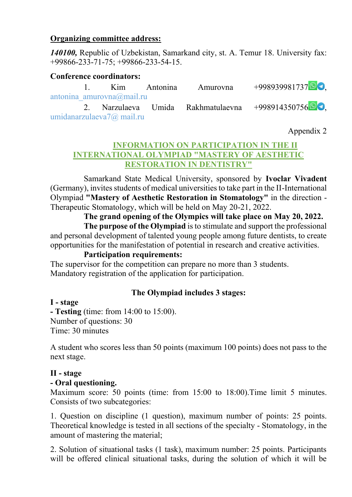### **Organizing committee address:**

*140100,* Republic of Uzbekistan, Samarkand city, st. A. Temur 18. University fax: +99866-233-71-75; +99866-233-54-15.

#### **Conference coordinators:**

|  |                                    | 1. Kim Antonina Amurovna | $+998939981737$                                    |
|--|------------------------------------|--------------------------|----------------------------------------------------|
|  | antonina amurovna $\omega$ mail.ru |                          |                                                    |
|  |                                    |                          | 2. Narzulaeva Umida Rakhmatulaevna +99891435075690 |
|  | umidanarzulaeva $7\omega$ mail.ru  |                          |                                                    |

Appendix 2

### **INFORMATION ON PARTICIPATION IN THE II INTERNATIONAL OLYMPIAD "MASTERY OF AESTHETIC RESTORATION IN DENTISTRY"**

Samarkand State Medical University, sponsored by **Ivoclar Vivadent** (Germany), invites students of medical universities to take part in the II-International Olympiad **"Mastery of Aesthetic Restoration in Stomatology"** in the direction - Therapeutic Stomatology, which will be held on May 20-21, 2022.

### **The grand opening of the Olympics will take place on May 20, 2022.**

**The purpose of the Olympiad** is to stimulate and support the professional and personal development of talented young people among future dentists, to create opportunities for the manifestation of potential in research and creative activities.

#### **Participation requirements:**

The supervisor for the competition can prepare no more than 3 students. Mandatory registration of the application for participation.

# **The Olympiad includes 3 stages:**

#### **I - stage**

**- Testing** (time: from 14:00 to 15:00). Number of questions: 30 Time: 30 minutes

A student who scores less than 50 points (maximum 100 points) does not pass to the next stage.

### **II - stage**

#### **- Oral questioning.**

Maximum score: 50 points (time: from 15:00 to 18:00).Time limit 5 minutes. Consists of two subcategories:

1. Question on discipline (1 question), maximum number of points: 25 points. Theoretical knowledge is tested in all sections of the specialty - Stomatology, in the amount of mastering the material;

2. Solution of situational tasks (1 task), maximum number: 25 points. Participants will be offered clinical situational tasks, during the solution of which it will be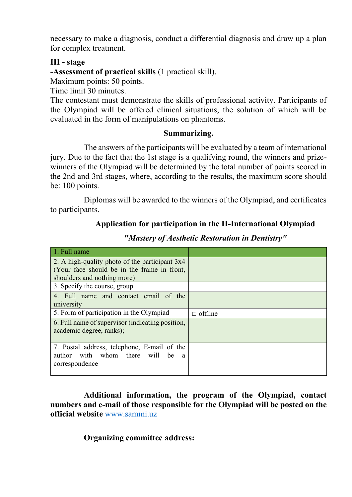necessary to make a diagnosis, conduct a differential diagnosis and draw up a plan for complex treatment.

#### **III - stage**

**-Assessment of practical skills** (1 practical skill).

Maximum points: 50 points.

Time limit 30 minutes.

The contestant must demonstrate the skills of professional activity. Participants of the Olympiad will be offered clinical situations, the solution of which will be evaluated in the form of manipulations on phantoms.

#### **Summarizing.**

The answers of the participants will be evaluated by a team of international jury. Due to the fact that the 1st stage is a qualifying round, the winners and prizewinners of the Olympiad will be determined by the total number of points scored in the 2nd and 3rd stages, where, according to the results, the maximum score should be: 100 points.

Diplomas will be awarded to the winners of the Olympiad, and certificates to participants.

#### **Application for participation in the II-International Olympiad**

| 1. Full name                                     |                |
|--------------------------------------------------|----------------|
| 2. A high-quality photo of the participant 3x4   |                |
| (Your face should be in the frame in front,      |                |
| shoulders and nothing more)                      |                |
| 3. Specify the course, group                     |                |
| 4. Full name and contact email of the            |                |
| university                                       |                |
| 5. Form of participation in the Olympiad         | $\Box$ offline |
| 6. Full name of supervisor (indicating position, |                |
| academic degree, ranks);                         |                |
|                                                  |                |
| 7. Postal address, telephone, E-mail of the      |                |
| author with whom there<br>will be a              |                |
| correspondence                                   |                |
|                                                  |                |

*"Mastery of Aesthetic Restoration in Dentistry"*

**Additional information, the program of the Olympiad, contact numbers and e-mail of those responsible for the Olympiad will be posted on the official website** [www.sammi.uz](http://www.sammi.uz/)

**Organizing committee address:**